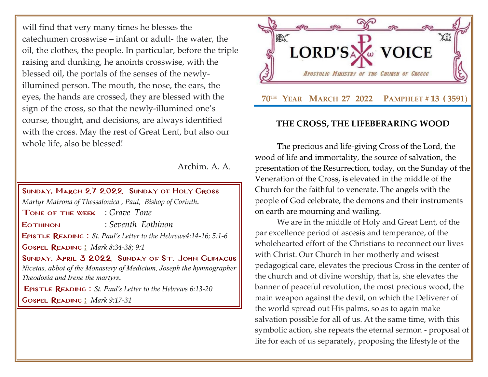will find that very many times he blesses the catechumen crosswise – infant or adult- the water, the oil, the clothes, the people. In particular, before the triple raising and dunking, he anoints crosswise, with the blessed oil, the portals of the senses of the newlyillumined person. The mouth, the nose, the ears, the eyes, the hands are crossed, they are blessed with the sign of the cross, so that the newly-illumined one's course, thought, and decisions, are always identified with the cross. May the rest of Great Lent, but also our whole life, also be blessed!

Archim. A. A.

# Sunday, March 27 2022 Sunday [of Holy Cross](http://www.goarch.org/chapel/saints?contentid=1016&PCode=MEATS&D=S&date=02/27/2022) *[Martyr Matrona of Thessalonica](http://www.goarch.org/chapel/saints?contentid=466) , Paul, Bishop of Corinth.* Tone of the week : *Grave Tone* Eothinon : *Seventh Eothinon* Epistle Reading : *St. Paul's Letter to the Hebrews4:14-16; 5:1-6* Gospel Reading **[:](http://www.goarch.org/chapel/lectionary?type=G&code=362&event=218)** *[Mark 8:34-38; 9:1](http://www.goarch.org/chapel/lectionary?type=G&code=324&event=1083)* Sunday, April 3 2022 Sunday [of St. John Climacus](http://www.goarch.org/chapel/saints?contentid=1016&PCode=MEATS&D=S&date=02/27/2022) *Nicetas, abbot of the Monastery of Medicium, Joseph the hymnographer Theodosia and Irene the martyrs.* Epistle Reading : *St. Paul's Letter to the Hebrews 6:13-20* Gospel Reading **[:](http://www.goarch.org/chapel/lectionary?type=G&code=362&event=218)** *[Mark 9:17-31](http://www.goarch.org/chapel/lectionary?type=G&code=324&event=1083)*



## **THE CROSS, THE LIFEBERARING WOOD**

The precious and life-giving Cross of the Lord, the wood of life and immortality, the source of salvation, the presentation of the Resurrection, today, on the Sunday of the Veneration of the Cross, is elevated in the middle of the Church for the faithful to venerate. The angels with the people of God celebrate, the demons and their instruments on earth are mourning and wailing.

We are in the middle of Holy and Great Lent, of the par excellence period of ascesis and temperance, of the wholehearted effort of the Christians to reconnect our lives with Christ. Our Church in her motherly and wisest pedagogical care, elevates the precious Cross in the center of the church and of divine worship, that is, she elevates the banner of peaceful revolution, the most precious wood, the main weapon against the devil, on which the Deliverer of the world spread out His palms, so as to again make salvation possible for all of us. At the same time, with this symbolic action, she repeats the eternal sermon - proposal of life for each of us separately, proposing the lifestyle of the